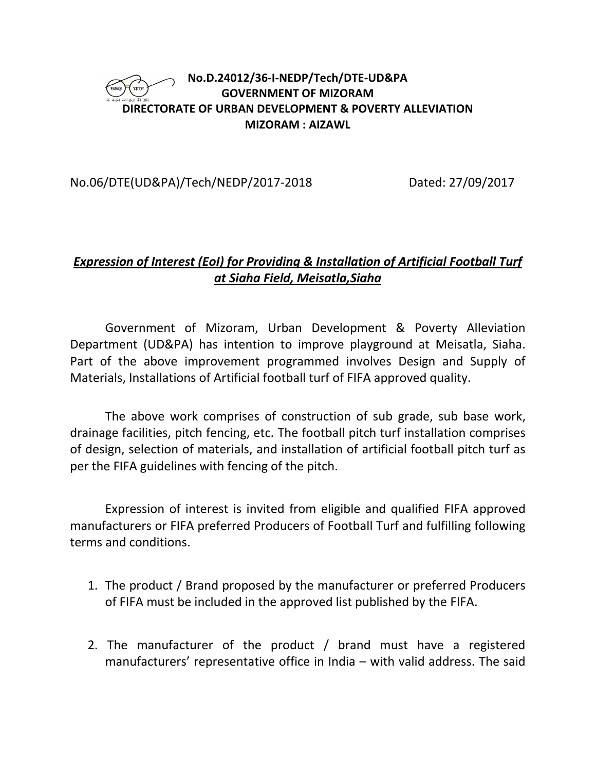### **No.D.24012/36-I-NEDP/Tech/DTE-UD&PA GOVERNMENT OF MIZORAM DIRECTORATE OF URBAN DEVELOPMENT & POVERTY ALLEVIATION MIZORAM : AIZAWL**

## No.06/DTE(UD&PA)/Tech/NEDP/2017-2018 Dated: 27/09/2017

## *Expression of Interest (EoI) for Providing & Installation of Artificial Football Turf at Siaha Field, Meisatla,Siaha*

Government of Mizoram, Urban Development & Poverty Alleviation Department (UD&PA) has intention to improve playground at Meisatla, Siaha. Part of the above improvement programmed involves Design and Supply of Materials, Installations of Artificial football turf of FIFA approved quality.

The above work comprises of construction of sub grade, sub base work, drainage facilities, pitch fencing, etc. The football pitch turf installation comprises of design, selection of materials, and installation of artificial football pitch turf as per the FIFA guidelines with fencing of the pitch.

Expression of interest is invited from eligible and qualified FIFA approved manufacturers or FIFA preferred Producers of Football Turf and fulfilling following terms and conditions.

- 1. The product / Brand proposed by the manufacturer or preferred Producers of FIFA must be included in the approved list published by the FIFA.
- 2. The manufacturer of the product / brand must have a registered manufacturers' representative office in India – with valid address. The said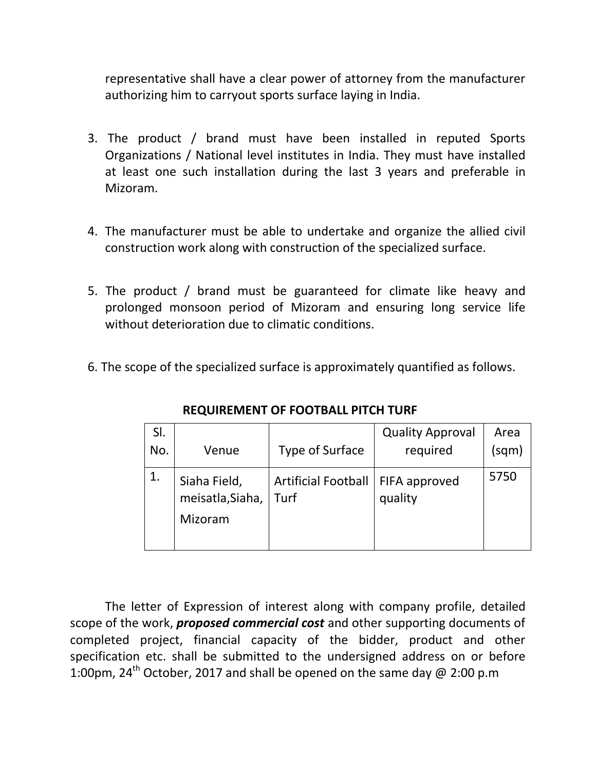representative shall have a clear power of attorney from the manufacturer authorizing him to carryout sports surface laying in India.

- 3. The product / brand must have been installed in reputed Sports Organizations / National level institutes in India. They must have installed at least one such installation during the last 3 years and preferable in Mizoram.
- 4. The manufacturer must be able to undertake and organize the allied civil construction work along with construction of the specialized surface.
- 5. The product / brand must be guaranteed for climate like heavy and prolonged monsoon period of Mizoram and ensuring long service life without deterioration due to climatic conditions.
- 6. The scope of the specialized surface is approximately quantified as follows.

| SI. |                                             |                                             | <b>Quality Approval</b> | Area  |
|-----|---------------------------------------------|---------------------------------------------|-------------------------|-------|
| No. | Venue                                       | <b>Type of Surface</b>                      | required                | (sqm) |
| 1.  | Siaha Field,<br>meisatla, Siaha,<br>Mizoram | Artificial Football   FIFA approved<br>Turf | quality                 | 5750  |

**REQUIREMENT OF FOOTBALL PITCH TURF** 

The letter of Expression of interest along with company profile, detailed scope of the work, *proposed commercial cost* and other supporting documents of completed project, financial capacity of the bidder, product and other specification etc. shall be submitted to the undersigned address on or before 1:00pm, 24<sup>th</sup> October, 2017 and shall be opened on the same day @ 2:00 p.m